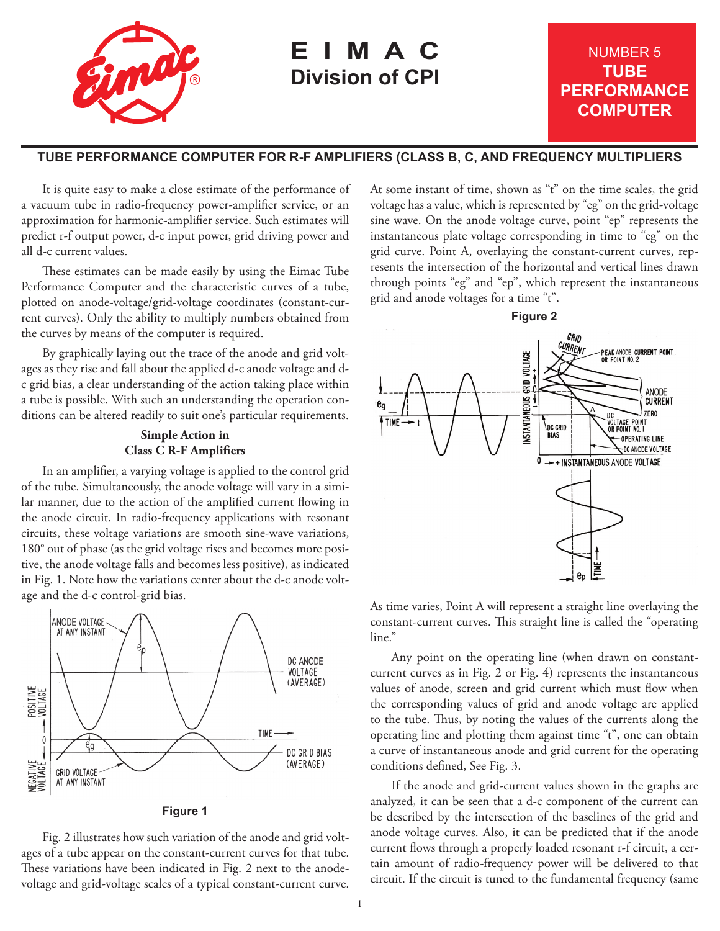

**E M A** C **Division of CPI**

# **TUBE PERFORMANCE COMPUTER FOR R-F AMPLIFIERS (CLASS B, C, AND FREQUENCY MULTIPLIERS**

 It is quite easy to make a close estimate of the performance of a vacuum tube in radio-frequency power-amplifier service, or an approximation for harmonic-amplifier service. Such estimates will predict r-f output power, d-c input power, grid driving power and all d-c current values.

These estimates can be made easily by using the Eimac Tube Performance Computer and the characteristic curves of a tube, plotted on anode-voltage/grid-voltage coordinates (constant-current curves). Only the ability to multiply numbers obtained from the curves by means of the computer is required.

 By graphically laying out the trace of the anode and grid voltages as they rise and fall about the applied d-c anode voltage and dc grid bias, a clear understanding of the action taking place within a tube is possible. With such an understanding the operation conditions can be altered readily to suit one's particular requirements.

# **Simple Action in Class C R-F Amplifiers**

In an amplifier, a varying voltage is applied to the control grid of the tube. Simultaneously, the anode voltage will vary in a similar manner, due to the action of the amplified current flowing in the anode circuit. In radio-frequency applications with resonant circuits, these voltage variations are smooth sine-wave variations, 180° out of phase (as the grid voltage rises and becomes more positive, the anode voltage falls and becomes less positive), as indicated in Fig. 1. Note how the variations center about the d-c anode voltage and the d-c control-grid bias.





 Fig. 2 illustrates how such variation of the anode and grid voltages of a tube appear on the constant-current curves for that tube. These variations have been indicated in Fig. 2 next to the anodevoltage and grid-voltage scales of a typical constant-current curve. At some instant of time, shown as "t" on the time scales, the grid voltage has a value, which is represented by "eg" on the grid-voltage sine wave. On the anode voltage curve, point "ep" represents the instantaneous plate voltage corresponding in time to "eg" on the grid curve. Point A, overlaying the constant-current curves, represents the intersection of the horizontal and vertical lines drawn through points "eg" and "ep", which represent the instantaneous grid and anode voltages for a time "t".



As time varies, Point A will represent a straight line overlaying the constant-current curves. This straight line is called the "operating line."

 Any point on the operating line (when drawn on constantcurrent curves as in Fig. 2 or Fig. 4) represents the instantaneous values of anode, screen and grid current which must flow when the corresponding values of grid and anode voltage are applied to the tube. Thus, by noting the values of the currents along the operating line and plotting them against time "t", one can obtain a curve of instantaneous anode and grid current for the operating conditions defined, See Fig. 3.

 If the anode and grid-current values shown in the graphs are analyzed, it can be seen that a d-c component of the current can be described by the intersection of the baselines of the grid and anode voltage curves. Also, it can be predicted that if the anode current flows through a properly loaded resonant r-f circuit, a certain amount of radio-frequency power will be delivered to that circuit. If the circuit is tuned to the fundamental frequency (same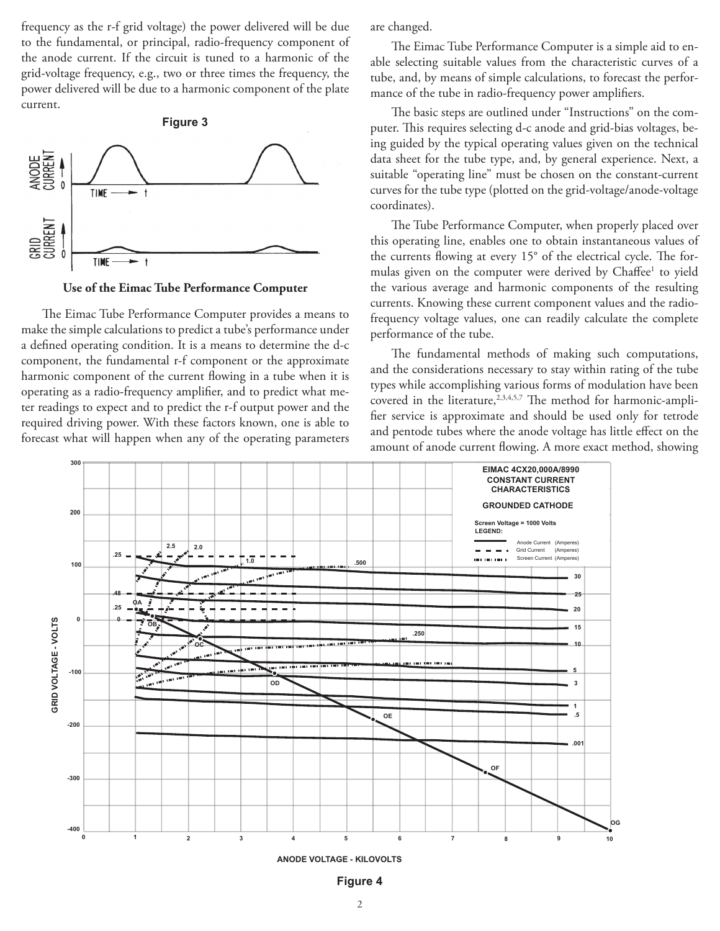frequency as the r-f grid voltage) the power delivered will be due to the fundamental, or principal, radio-frequency component of the anode current. If the circuit is tuned to a harmonic of the grid-voltage frequency, e.g., two or three times the frequency, the power delivered will be due to a harmonic component of the plate current.



**Use of the Eimac Tube Performance Computer**

The Eimac Tube Performance Computer provides a means to make the simple calculations to predict a tube's performance under a defined operating condition. It is a means to determine the d-c component, the fundamental r-f component or the approximate harmonic component of the current flowing in a tube when it is operating as a radio-frequency amplifier, and to predict what meter readings to expect and to predict the r-f output power and the required driving power. With these factors known, one is able to forecast what will happen when any of the operating parameters are changed.

The Eimac Tube Performance Computer is a simple aid to enable selecting suitable values from the characteristic curves of a tube, and, by means of simple calculations, to forecast the performance of the tube in radio-frequency power amplifiers.

The basic steps are outlined under "Instructions" on the computer. This requires selecting d-c anode and grid-bias voltages, being guided by the typical operating values given on the technical data sheet for the tube type, and, by general experience. Next, a suitable "operating line" must be chosen on the constant-current curves for the tube type (plotted on the grid-voltage/anode-voltage coordinates).

The Tube Performance Computer, when properly placed over this operating line, enables one to obtain instantaneous values of the currents flowing at every  $15^{\circ}$  of the electrical cycle. The formulas given on the computer were derived by Chaffee<sup>1</sup> to yield the various average and harmonic components of the resulting currents. Knowing these current component values and the radiofrequency voltage values, one can readily calculate the complete performance of the tube.

The fundamental methods of making such computations, and the considerations necessary to stay within rating of the tube types while accomplishing various forms of modulation have been covered in the literature,  $2,3,4,5,7$  The method for harmonic-amplifier service is approximate and should be used only for tetrode and pentode tubes where the anode voltage has little effect on the amount of anode current flowing. A more exact method, showing



**ANODE VOLTAGE - KILOVOLTS**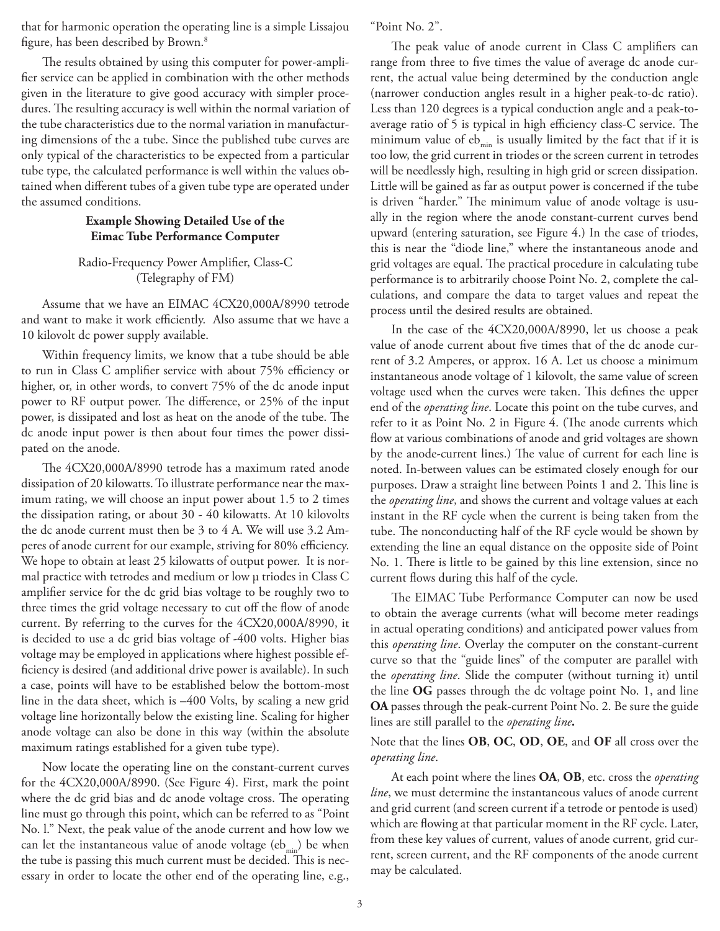that for harmonic operation the operating line is a simple Lissajou figure, has been described by Brown.8

 The results obtained by using this computer for power-amplifier service can be applied in combination with the other methods given in the literature to give good accuracy with simpler procedures. The resulting accuracy is well within the normal variation of the tube characteristics due to the normal variation in manufacturing dimensions of the a tube. Since the published tube curves are only typical of the characteristics to be expected from a particular tube type, the calculated performance is well within the values obtained when different tubes of a given tube type are operated under the assumed conditions.

# **Example Showing Detailed Use of the Eimac Tube Performance Computer**

# Radio-Frequency Power Amplifier, Class-C (Telegraphy of FM)

 Assume that we have an EIMAC 4CX20,000A/8990 tetrode and want to make it work efficiently. Also assume that we have a 10 kilovolt dc power supply available.

 Within frequency limits, we know that a tube should be able to run in Class C amplifier service with about 75% efficiency or higher, or, in other words, to convert 75% of the dc anode input power to RF output power. The difference, or 25% of the input power, is dissipated and lost as heat on the anode of the tube. The dc anode input power is then about four times the power dissipated on the anode.

 The 4CX20,000A/8990 tetrode has a maximum rated anode dissipation of 20 kilowatts. To illustrate performance near the maximum rating, we will choose an input power about 1.5 to 2 times the dissipation rating, or about 30 - 40 kilowatts. At 10 kilovolts the dc anode current must then be 3 to 4 A. We will use 3.2 Amperes of anode current for our example, striving for 80% efficiency. We hope to obtain at least 25 kilowatts of output power. It is normal practice with tetrodes and medium or low µ triodes in Class C amplifier service for the dc grid bias voltage to be roughly two to three times the grid voltage necessary to cut off the flow of anode current. By referring to the curves for the 4CX20,000A/8990, it is decided to use a dc grid bias voltage of -400 volts. Higher bias voltage may be employed in applications where highest possible efficiency is desired (and additional drive power is available). In such a case, points will have to be established below the bottom-most line in the data sheet, which is –400 Volts, by scaling a new grid voltage line horizontally below the existing line. Scaling for higher anode voltage can also be done in this way (within the absolute maximum ratings established for a given tube type).

 Now locate the operating line on the constant-current curves for the 4CX20,000A/8990. (See Figure 4). First, mark the point where the dc grid bias and dc anode voltage cross. The operating line must go through this point, which can be referred to as "Point No. l." Next, the peak value of the anode current and how low we can let the instantaneous value of anode voltage (eb<sub>min</sub>) be when the tube is passing this much current must be decided. This is necessary in order to locate the other end of the operating line, e.g., "Point No. 2".

 The peak value of anode current in Class C amplifiers can range from three to five times the value of average dc anode current, the actual value being determined by the conduction angle (narrower conduction angles result in a higher peak-to-dc ratio). Less than 120 degrees is a typical conduction angle and a peak-toaverage ratio of 5 is typical in high efficiency class-C service. The minimum value of  $eb_{min}$  is usually limited by the fact that if it is too low, the grid current in triodes or the screen current in tetrodes will be needlessly high, resulting in high grid or screen dissipation. Little will be gained as far as output power is concerned if the tube is driven "harder." The minimum value of anode voltage is usually in the region where the anode constant-current curves bend upward (entering saturation, see Figure 4.) In the case of triodes, this is near the "diode line," where the instantaneous anode and grid voltages are equal. The practical procedure in calculating tube performance is to arbitrarily choose Point No. 2, complete the calculations, and compare the data to target values and repeat the process until the desired results are obtained.

 In the case of the 4CX20,000A/8990, let us choose a peak value of anode current about five times that of the dc anode current of 3.2 Amperes, or approx. 16 A. Let us choose a minimum instantaneous anode voltage of 1 kilovolt, the same value of screen voltage used when the curves were taken. This defines the upper end of the *operating line*. Locate this point on the tube curves, and refer to it as Point No. 2 in Figure 4. (The anode currents which flow at various combinations of anode and grid voltages are shown by the anode-current lines.) The value of current for each line is noted. In-between values can be estimated closely enough for our purposes. Draw a straight line between Points 1 and 2. This line is the *operating line*, and shows the current and voltage values at each instant in the RF cycle when the current is being taken from the tube. The nonconducting half of the RF cycle would be shown by extending the line an equal distance on the opposite side of Point No. 1. There is little to be gained by this line extension, since no current flows during this half of the cycle.

 The EIMAC Tube Performance Computer can now be used to obtain the average currents (what will become meter readings in actual operating conditions) and anticipated power values from this *operating line*. Overlay the computer on the constant-current curve so that the "guide lines" of the computer are parallel with the *operating line*. Slide the computer (without turning it) until the line **OG** passes through the dc voltage point No. 1, and line **OA** passes through the peak-current Point No. 2. Be sure the guide lines are still parallel to the *operating line***.**

## Note that the lines **OB**, **OC**, **OD**, **OE**, and **OF** all cross over the *operating line*.

 At each point where the lines **OA**, **OB**, etc. cross the *operating line*, we must determine the instantaneous values of anode current and grid current (and screen current if a tetrode or pentode is used) which are flowing at that particular moment in the RF cycle. Later, from these key values of current, values of anode current, grid current, screen current, and the RF components of the anode current may be calculated.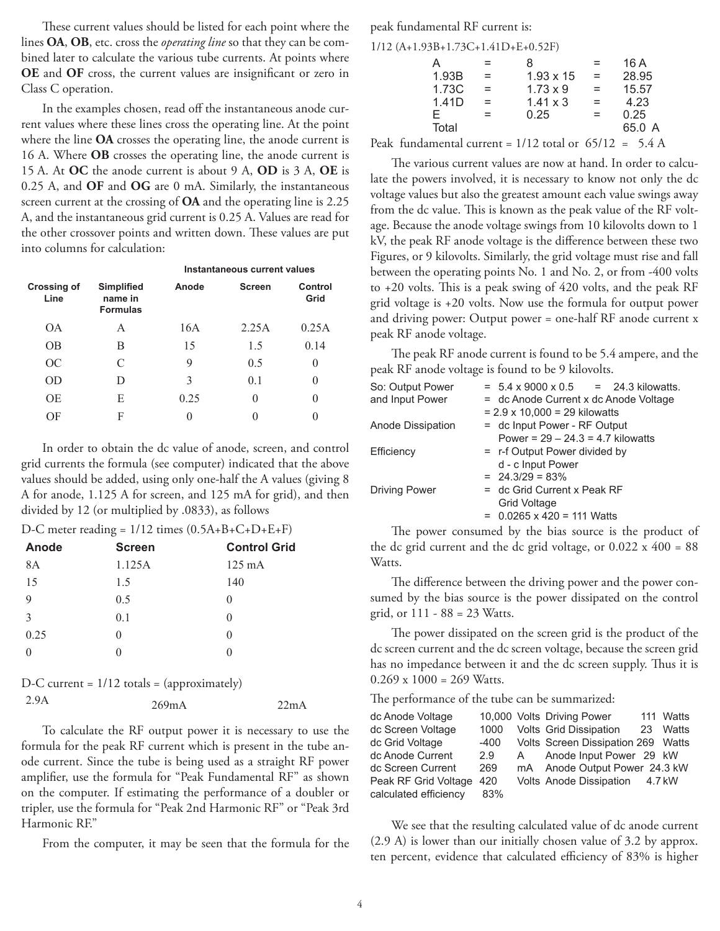These current values should be listed for each point where the lines **OA**, **OB**, etc. cross the *operating line* so that they can be combined later to calculate the various tube currents. At points where **OE** and **OF** cross, the current values are insignificant or zero in Class C operation.

 In the examples chosen, read off the instantaneous anode current values where these lines cross the operating line. At the point where the line **OA** crosses the operating line, the anode current is 16 A. Where **OB** crosses the operating line, the anode current is 15 A. At **OC** the anode current is about 9 A, **OD** is 3 A, **OE** is 0.25 A, and **OF** and **OG** are 0 mA. Similarly, the instantaneous screen current at the crossing of **OA** and the operating line is 2.25 A, and the instantaneous grid current is 0.25 A. Values are read for the other crossover points and written down. These values are put into columns for calculation:

|                            |                                                 | Instantaneous current values |                  |                 |
|----------------------------|-------------------------------------------------|------------------------------|------------------|-----------------|
| <b>Crossing of</b><br>Line | <b>Simplified</b><br>name in<br><b>Formulas</b> | Anode                        | <b>Screen</b>    | Control<br>Grid |
| OΑ.                        | A                                               | 16A                          | 2.25A            | 0.25A           |
| OΒ                         | B                                               | 15                           | 1.5              | 0.14            |
| OC                         | C                                               | 9                            | 0.5              | 0               |
| OD                         | D                                               | 3                            | 0.1              | 0               |
| ΟE                         | E                                               | 0.25                         | $\left( \right)$ | 0               |
| ΩF                         | F                                               |                              |                  | $\mathbf{0}$    |

 In order to obtain the dc value of anode, screen, and control grid currents the formula (see computer) indicated that the above values should be added, using only one-half the A values (giving 8 A for anode, 1.125 A for screen, and 125 mA for grid), and then divided by 12 (or multiplied by .0833), as follows

D-C meter reading =  $1/12$  times  $(0.5A+B+C+D+E+F)$ 

| <b>Anode</b> | <b>Screen</b> | <b>Control Grid</b> |
|--------------|---------------|---------------------|
| 8A           | 1.125A        | $125 \text{ mA}$    |
| 15           | 1.5           | 140                 |
| 9            | 0.5           | $\theta$            |
| 3            | 0.1           | $\theta$            |
| 0.25         | $\theta$      | 0                   |
|              | 0             | $\left( \right)$    |
|              |               |                     |

D-C current =  $1/12$  totals = (approximately) 2.9A 269mA 22mA

 To calculate the RF output power it is necessary to use the formula for the peak RF current which is present in the tube anode current. Since the tube is being used as a straight RF power amplifier, use the formula for "Peak Fundamental RF" as shown on the computer. If estimating the performance of a doubler or tripler, use the formula for "Peak 2nd Harmonic RF" or "Peak 3rd Harmonic RF."

From the computer, it may be seen that the formula for the

peak fundamental RF current is:

1/12 (A+1.93B+1.73C+1.41D+E+0.52F)

|       | =   | 8                | $=$ | 16 A   |
|-------|-----|------------------|-----|--------|
| 1.93B | $=$ | $1.93 \times 15$ | $=$ | 28.95  |
| 1.73C | $=$ | $1.73 \times 9$  | $=$ | 15.57  |
| 1.41D | $=$ | $1.41 \times 3$  | $=$ | 4.23   |
| F.    |     | 0.25             |     | 0.25   |
| Total |     |                  |     | 65.0 A |

Peak fundamental current =  $1/12$  total or  $65/12 = 5.4$  A

 The various current values are now at hand. In order to calculate the powers involved, it is necessary to know not only the dc voltage values but also the greatest amount each value swings away from the dc value. This is known as the peak value of the RF voltage. Because the anode voltage swings from 10 kilovolts down to 1 kV, the peak RF anode voltage is the difference between these two Figures, or 9 kilovolts. Similarly, the grid voltage must rise and fall between the operating points No. 1 and No. 2, or from -400 volts to +20 volts. This is a peak swing of 420 volts, and the peak RF grid voltage is +20 volts. Now use the formula for output power and driving power: Output power = one-half RF anode current x peak RF anode voltage.

 The peak RF anode current is found to be 5.4 ampere, and the peak RF anode voltage is found to be 9 kilovolts.

| So: Output Power     | $= 5.4 \times 9000 \times 0.5 = 24.3$ kilowatts.         |  |  |
|----------------------|----------------------------------------------------------|--|--|
| and Input Power      | = dc Anode Current x dc Anode Voltage                    |  |  |
|                      | $= 2.9 \times 10,000 = 29$ kilowatts                     |  |  |
| Anode Dissipation    | = dc Input Power - RF Output                             |  |  |
|                      | Power = $29 - 24.3 = 4.7$ kilowatts                      |  |  |
| Efficiency           | = r-f Output Power divided by                            |  |  |
|                      | d - c Input Power                                        |  |  |
|                      | $= 24.3/29 = 83\%$                                       |  |  |
| <b>Driving Power</b> | $=$ dc Grid Current x Peak RF                            |  |  |
|                      | Grid Voltage                                             |  |  |
|                      | $-$ 0.0265 $\vee$ 420 $-$ 444 $M_{\odot}$ H <sub>2</sub> |  |  |

 $= 0.0265 \times 420 = 111$  Watts

 The power consumed by the bias source is the product of the dc grid current and the dc grid voltage, or 0.022 x 400 = 88 Watts.

 The difference between the driving power and the power consumed by the bias source is the power dissipated on the control grid, or 111 - 88 = 23 Watts.

 The power dissipated on the screen grid is the product of the dc screen current and the dc screen voltage, because the screen grid has no impedance between it and the dc screen supply. Thus it is  $0.269 \times 1000 = 269$  Watts.

The performance of the tube can be summarized:

| dc Anode Voltage         |      | 10,000 Volts Driving Power              | 111 Watts |
|--------------------------|------|-----------------------------------------|-----------|
| dc Screen Voltage        | 1000 | Volts Grid Dissipation                  | 23 Watts  |
| dc Grid Voltage          |      | -400 Volts Screen Dissipation 269 Watts |           |
| dc Anode Current         | 2.9  | A Anode Input Power 29 kW               |           |
| dc Screen Current        | 269  | mA Anode Output Power 24.3 kW           |           |
| Peak RF Grid Voltage 420 |      | Volts Anode Dissipation 4.7 kW          |           |
| calculated efficiency    | 83%  |                                         |           |

 We see that the resulting calculated value of dc anode current (2.9 A) is lower than our initially chosen value of 3.2 by approx. ten percent, evidence that calculated efficiency of 83% is higher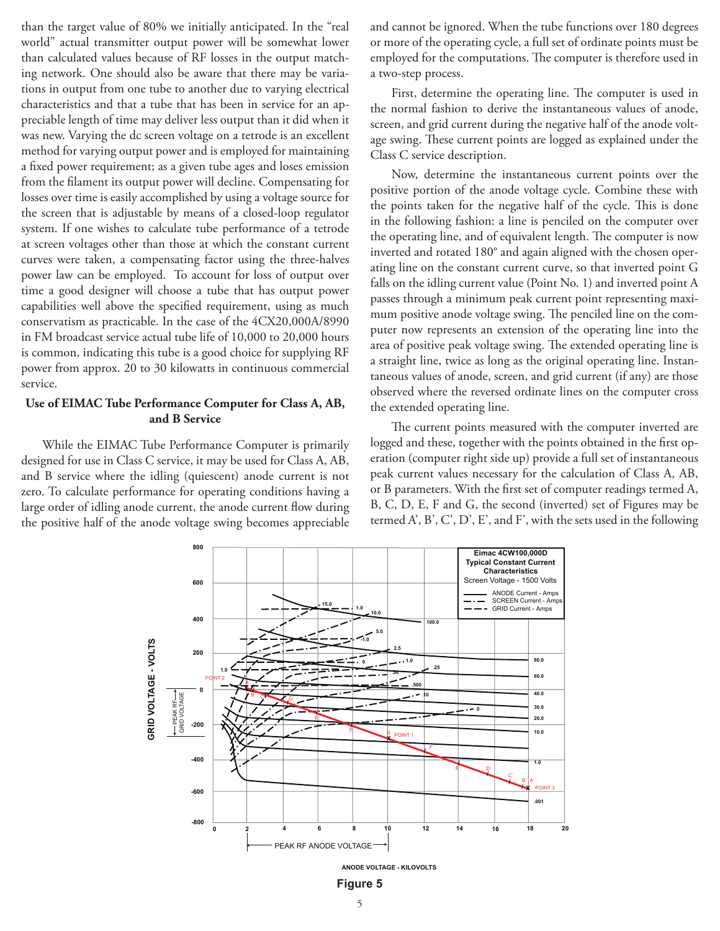than the target value of 80% we initially anticipated. In the "real world" actual transmitter output power will be somewhat lower than calculated values because of RF losses in the output matching network. One should also be aware that there may be variations in output from one tube to another due to varying electrical characteristics and that a tube that has been in service for an appreciable length of time may deliver less output than it did when it was new. Varying the dc screen voltage on a tetrode is an excellent method for varying output power and is employed for maintaining a fixed power requirement; as a given tube ages and loses emission from the filament its output power will decline. Compensating for losses over time is easily accomplished by using a voltage source for the screen that is adjustable by means of a closed-loop regulator system. If one wishes to calculate tube performance of a tetrode at screen voltages other than those at which the constant current curves were taken, a compensating factor using the three-halves power law can be employed. To account for loss of output over time a good designer will choose a tube that has output power capabilities well above the specified requirement, using as much conservatism as practicable. In the case of the 4CX20,000A/8990 in FM broadcast service actual tube life of 10,000 to 20,000 hours is common, indicating this tube is a good choice for supplying RF power from approx. 20 to 30 kilowatts in continuous commercial service.

# **Use of EIMAC Tube Performance Computer for Class A, AB, and B Service**

 While the EIMAC Tube Performance Computer is primarily designed for use in Class C service, it may be used for Class A, AB, and B service where the idling (quiescent) anode current is not zero. To calculate performance for operating conditions having a large order of idling anode current, the anode current flow during the positive half of the anode voltage swing becomes appreciable and cannot be ignored. When the tube functions over 180 degrees or more of the operating cycle, a full set of ordinate points must be employed for the computations. The computer is therefore used in a two-step process.

First, determine the operating line. The computer is used in the normal fashion to derive the instantaneous values of anode, screen, and grid current during the negative half of the anode voltage swing. These current points are logged as explained under the Class C service description.

 Now, determine the instantaneous current points over the positive portion of the anode voltage cycle. Combine these with the points taken for the negative half of the cycle. This is done in the following fashion: a line is penciled on the computer over the operating line, and of equivalent length. The computer is now inverted and rotated 180° and again aligned with the chosen operating line on the constant current curve, so that inverted point G falls on the idling current value (Point No. 1) and inverted point A passes through a minimum peak current point representing maximum positive anode voltage swing. The penciled line on the computer now represents an extension of the operating line into the area of positive peak voltage swing. The extended operating line is a straight line, twice as long as the original operating line. Instantaneous values of anode, screen, and grid current (if any) are those observed where the reversed ordinate lines on the computer cross the extended operating line.

The current points measured with the computer inverted are logged and these, together with the points obtained in the first operation (computer right side up) provide a full set of instantaneous peak current values necessary for the calculation of Class A, AB, or B parameters. With the first set of computer readings termed A, B, C, D, E, F and G, the second (inverted) set of Figures may be termed  $A$ ',  $B$ ',  $C$ ',  $D$ ',  $E$ ', and  $F$ ', with the sets used in the following



**Figure 5**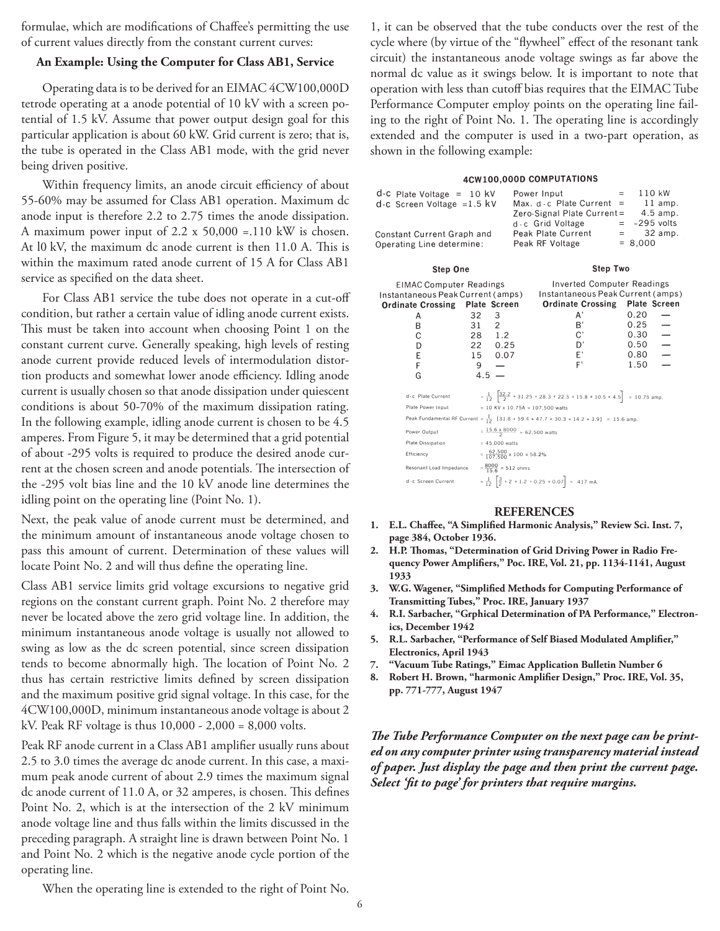formulae, which are modifications of Chaffee's permitting the use of current values directly from the constant current curves:

### **An Example: Using the Computer for Class AB1, Service**

 Operating data is to be derived for an EIMAC 4CW100,000D tetrode operating at a anode potential of 10 kV with a screen potential of 1.5 kV. Assume that power output design goal for this particular application is about 60 kW. Grid current is zero; that is, the tube is operated in the Class AB1 mode, with the grid never being driven positive.

 Within frequency limits, an anode circuit efficiency of about 55-60% may be assumed for Class AB1 operation. Maximum dc anode input is therefore 2.2 to 2.75 times the anode dissipation. A maximum power input of 2.2  $\times$  50,000 =.110 kW is chosen. At l0 kV, the maximum dc anode current is then 11.0 A. This is within the maximum rated anode current of 15 A for Class AB1 service as specified on the data sheet.

 For Class AB1 service the tube does not operate in a cut-off condition, but rather a certain value of idling anode current exists. This must be taken into account when choosing Point 1 on the constant current curve. Generally speaking, high levels of resting anode current provide reduced levels of intermodulation distortion products and somewhat lower anode efficiency. Idling anode current is usually chosen so that anode dissipation under quiescent conditions is about 50-70% of the maximum dissipation rating. In the following example, idling anode current is chosen to be 4.5 amperes. From Figure 5, it may be determined that a grid potential of about -295 volts is required to produce the desired anode current at the chosen screen and anode potentials. The intersection of the -295 volt bias line and the 10 kV anode line determines the idling point on the operating line (Point No. 1).

Next, the peak value of anode current must be determined, and the minimum amount of instantaneous anode voltage chosen to pass this amount of current. Determination of these values will locate Point No. 2 and will thus define the operating line.

Class AB1 service limits grid voltage excursions to negative grid regions on the constant current graph. Point No. 2 therefore may never be located above the zero grid voltage line. In addition, the minimum instantaneous anode voltage is usually not allowed to swing as low as the dc screen potential, since screen dissipation tends to become abnormally high. The location of Point No. 2 thus has certain restrictive limits defined by screen dissipation and the maximum positive grid signal voltage. In this case, for the 4CW100,000D, minimum instantaneous anode voltage is about 2 kV. Peak RF voltage is thus 10,000 - 2,000 = 8,000 volts.

Peak RF anode current in a Class AB1 amplifier usually runs about 2.5 to 3.0 times the average dc anode current. In this case, a maximum peak anode current of about 2.9 times the maximum signal dc anode current of 11.0 A, or 32 amperes, is chosen. This defines Point No. 2, which is at the intersection of the 2 kV minimum anode voltage line and thus falls within the limits discussed in the preceding paragraph. A straight line is drawn between Point No. 1 and Point No. 2 which is the negative anode cycle portion of the operating line.

1, it can be observed that the tube conducts over the rest of the cycle where (by virtue of the "flywheel" effect of the resonant tank circuit) the instantaneous anode voltage swings as far above the normal dc value as it swings below. It is important to note that operation with less than cutoff bias requires that the EIMAC Tube Performance Computer employ points on the operating line failing to the right of Point No. 1. The operating line is accordingly extended and the computer is used in a two-part operation, as shown in the following example:

#### 4CW100,000D COMPUTATIONS

| $d-c$ Plate Voltage = 10 kV           | Power Input                              | $=$                  | 110 kW         |
|---------------------------------------|------------------------------------------|----------------------|----------------|
| $d-c$ Screen Voltage = 1.5 kV         | Max. $d \cdot c$ Plate Current = 11 amp. |                      |                |
|                                       | Zero-Signal Plate Current=               |                      | $4.5$ amp.     |
|                                       | d c Grid Voltage                         |                      | $= -295$ volts |
| Constant Current Graph and            | Peak Plate Current                       | <b>Simple Street</b> | $32$ amp.      |
| Operating Line determine:             | Peak RF Voltage                          |                      | $= 8,000$      |
| Step One                              |                                          | <b>Step Two</b>      |                |
| <b>EIMAC Computer Readings</b>        | <b>Inverted Computer Readings</b>        |                      |                |
| Instantaneous Peak Current (amps)     | Instantaneous Peak Current (amps)        |                      |                |
| <b>Ordinate Crossing Plate Screen</b> | <b>Ordinate Crossing Plate Screen</b>    |                      |                |

| dinate Crossing <sup>-</sup>           |      | <b>Plate Screen</b>                           | <b>Ordinate Crossing</b>                                                                                                                                                                                                            |      | Plate Screen |
|----------------------------------------|------|-----------------------------------------------|-------------------------------------------------------------------------------------------------------------------------------------------------------------------------------------------------------------------------------------|------|--------------|
| Α                                      | 32   | 3                                             | A'                                                                                                                                                                                                                                  | 0.20 |              |
| B                                      | 31 2 |                                               | B'                                                                                                                                                                                                                                  | 0.25 |              |
| С                                      |      | 28 1.2                                        | C'                                                                                                                                                                                                                                  | 0.30 |              |
| D                                      |      | 22 0.25                                       | D'                                                                                                                                                                                                                                  | 0.50 |              |
| Ε                                      |      | 15 0.07                                       | E'                                                                                                                                                                                                                                  | 0.80 |              |
| F                                      | 9    |                                               | F'                                                                                                                                                                                                                                  | 1.50 |              |
| G                                      |      | $4.5 -$                                       |                                                                                                                                                                                                                                     |      |              |
| d-c Plate Current<br>Plate Power Input |      |                                               | $=\frac{1}{12}$ $\left[\frac{32.2}{2}+31.25+28.3+22.5+15.8+10.5+4.5\right] = 10.75$ amp.<br>$= 10$ KV x 10.75A = 107,500 watts<br>Peak Fundamental RF Current = $\frac{1}{12}$ [31.8 + 59.4 + 47.7 + 30.3 + 14.2 + 3.9] = 15.6 amp. |      |              |
|                                        |      | $=\frac{15.6 \times 8000}{2}$ = 62,500 watts  |                                                                                                                                                                                                                                     |      |              |
| Power Output                           |      |                                               |                                                                                                                                                                                                                                     |      |              |
| Plate Dissipation                      |      | $= 45,000$ watts                              |                                                                                                                                                                                                                                     |      |              |
| Efficiency                             |      | $=\frac{62,500}{107,500} \times 100 = 58.2\%$ |                                                                                                                                                                                                                                     |      |              |
| Resonant Load Impedance                |      | $=\frac{8000}{15.6}$ = 512 ohms               |                                                                                                                                                                                                                                     |      |              |
| d-c Screen Current                     |      |                                               | $=\frac{1}{12}$ $\left[\frac{3}{2} + 2 + 1.2 + 0.25 + 0.07\right] = 417$ mA.                                                                                                                                                        |      |              |

#### **REFERENCES**

- **1. E.L. Chaffee, "A Simplified Harmonic Analysis," Review Sci. Inst. 7, page 384, October 1936.**
- **2. H.P. Thomas, "Determination of Grid Driving Power in Radio Frequency Power Amplifiers," Poc. IRE, Vol. 21, pp. 1134-1141, August 1933**
- **3. W.G. Wagener, "Simplified Methods for Computing Performance of Transmitting Tubes," Proc. IRE, January 1937**
- **4. R.I. Sarbacher, "Grphical Determination of PA Performance," Electronics, December 1942**
- **5. R.L. Sarbacher, "Performance of Self Biased Modulated Amplifier," Electronics, April 1943**
- **7. "Vacuum Tube Ratings," Eimac Application Bulletin Number 6**
- **8. Robert H. Brown, "harmonic Amplifier Design," Proc. IRE, Vol. 35, pp. 771-777, August 1947**

*The Tube Performance Computer on the next page can be printed on any computer printer using transparency material instead of paper. Just display the page and then print the current page. Select 'fit to page' for printers that require margins.*

When the operating line is extended to the right of Point No.